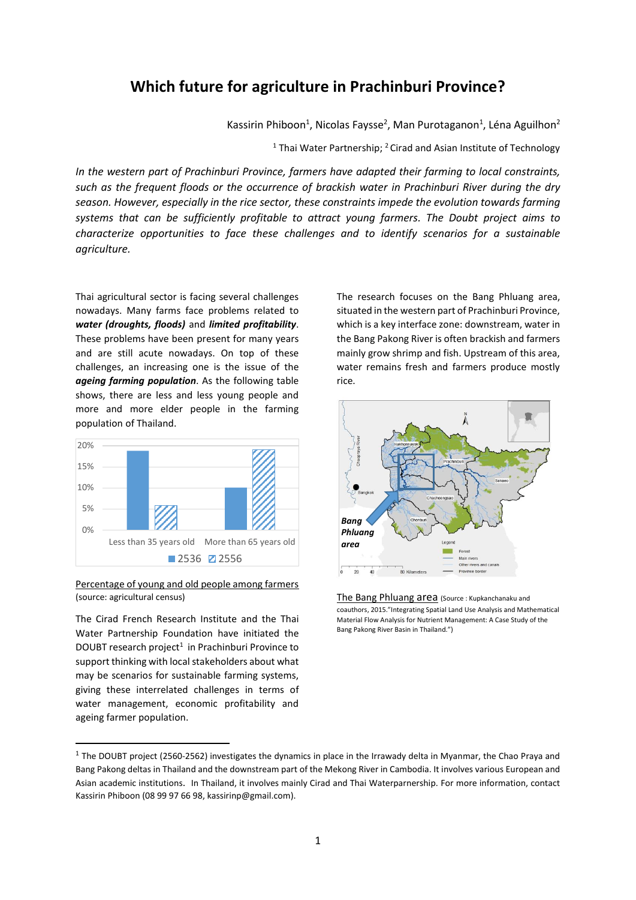# **Which future for agriculture in Prachinburi Province?**

Kassirin Phiboon<sup>1</sup>, Nicolas Faysse<sup>2</sup>, Man Purotaganon<sup>1</sup>, Léna Aguilhon<sup>2</sup>

<sup>1</sup> Thai Water Partnership; <sup>2</sup> Cirad and Asian Institute of Technology

*In the western part of Prachinburi Province, farmers have adapted their farming to local constraints, such as the frequent floods or the occurrence of brackish water in Prachinburi River during the dry season. However, especially in the rice sector, these constraints impede the evolution towards farming systems that can be sufficiently profitable to attract young farmers. The Doubt project aims to characterize opportunities to face these challenges and to identify scenarios for a sustainable agriculture.*

Thai agricultural sector is facing several challenges nowadays. Many farms face problems related to *water (droughts, floods)* and *limited profitability*. These problems have been present for many years and are still acute nowadays. On top of these challenges, an increasing one is the issue of the *ageing farming population*. As the following table shows, there are less and less young people and more and more elder people in the farming population of Thailand.



#### Percentage of young and old people among farmers (source: agricultural census)

The Cirad French Research Institute and the Thai Water Partnership Foundation have initiated the DOUBT research project<sup>1</sup> in Prachinburi Province to support thinking with local stakeholders about what may be scenarios for sustainable farming systems, giving these interrelated challenges in terms of water management, economic profitability and ageing farmer population.

1

The research focuses on the Bang Phluang area, situated in the western part of Prachinburi Province, which is a key interface zone: downstream, water in the Bang Pakong River is often brackish and farmers mainly grow shrimp and fish. Upstream of this area, water remains fresh and farmers produce mostly rice.



The Bang Phluang area (Source : Kupkanchanaku and coauthors, 2015."Integrating Spatial Land Use Analysis and Mathematical Material Flow Analysis for Nutrient Management: A Case Study of the Bang Pakong River Basin in Thailand.")

 $1$  The DOUBT project (2560-2562) investigates the dynamics in place in the Irrawady delta in Myanmar, the Chao Praya and Bang Pakong deltas in Thailand and the downstream part of the Mekong River in Cambodia. It involves various European and Asian academic institutions. In Thailand, it involves mainly Cirad and Thai Waterparnership. For more information, contact Kassirin Phiboon (08 99 97 66 98, kassirinp@gmail.com).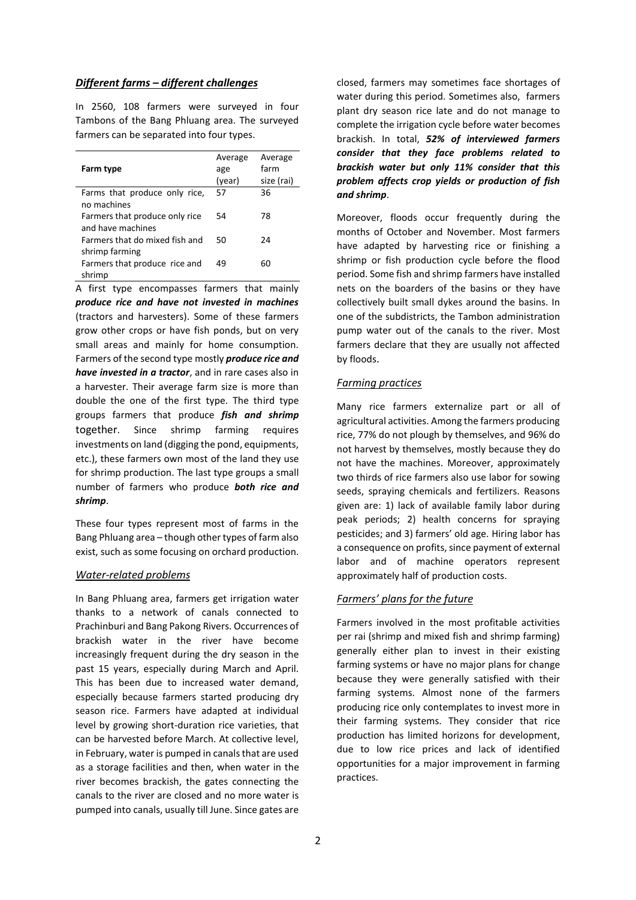## *Different farms – different challenges*

In 2560, 108 farmers were surveyed in four Tambons of the Bang Phluang area. The surveyed farmers can be separated into four types.

| Farm type                                           | Average<br>age<br>(year) | Average<br>farm<br>size (rai) |
|-----------------------------------------------------|--------------------------|-------------------------------|
| Farms that produce only rice,<br>no machines        | 57                       | 36                            |
| Farmers that produce only rice<br>and have machines | 54                       | 78                            |
| Farmers that do mixed fish and<br>shrimp farming    | 50                       | 24                            |
| Farmers that produce rice and<br>shrimp             | 49                       | 60                            |

A first type encompasses farmers that mainly *produce rice and have not invested in machines* (tractors and harvesters). Some of these farmers grow other crops or have fish ponds, but on very small areas and mainly for home consumption. Farmers of the second type mostly *produce rice and have invested in a tractor*, and in rare cases also in a harvester. Their average farm size is more than double the one of the first type. The third type groups farmers that produce *fish and shrimp* together. Since shrimp farming requires investments on land (digging the pond, equipments, etc.), these farmers own most of the land they use for shrimp production. The last type groups a small number of farmers who produce *both rice and shrimp*.

These four types represent most of farms in the Bang Phluang area – though other types of farm also exist, such as some focusing on orchard production.

## *Water-related problems*

In Bang Phluang area, farmers get irrigation water thanks to a network of canals connected to Prachinburi and Bang Pakong Rivers. Occurrences of brackish water in the river have become increasingly frequent during the dry season in the past 15 years, especially during March and April. This has been due to increased water demand, especially because farmers started producing dry season rice. Farmers have adapted at individual level by growing short-duration rice varieties, that can be harvested before March. At collective level, in February, water is pumped in canals that are used as a storage facilities and then, when water in the river becomes brackish, the gates connecting the canals to the river are closed and no more water is pumped into canals, usually till June. Since gates are

closed, farmers may sometimes face shortages of water during this period. Sometimes also, farmers plant dry season rice late and do not manage to complete the irrigation cycle before water becomes brackish. In total, *52% of interviewed farmers consider that they face problems related to brackish water but only 11% consider that this problem affects crop yields or production of fish and shrimp*.

Moreover, floods occur frequently during the months of October and November. Most farmers have adapted by harvesting rice or finishing a shrimp or fish production cycle before the flood period. Some fish and shrimp farmers have installed nets on the boarders of the basins or they have collectively built small dykes around the basins. In one of the subdistricts, the Tambon administration pump water out of the canals to the river. Most farmers declare that they are usually not affected by floods.

#### *Farming practices*

Many rice farmers externalize part or all of agricultural activities. Among the farmers producing rice, 77% do not plough by themselves, and 96% do not harvest by themselves, mostly because they do not have the machines. Moreover, approximately two thirds of rice farmers also use labor for sowing seeds, spraying chemicals and fertilizers. Reasons given are: 1) lack of available family labor during peak periods; 2) health concerns for spraying pesticides; and 3) farmers' old age. Hiring labor has a consequence on profits, since payment of external labor and of machine operators represent approximately half of production costs.

## *Farmers' plans for the future*

Farmers involved in the most profitable activities per rai (shrimp and mixed fish and shrimp farming) generally either plan to invest in their existing farming systems or have no major plans for change because they were generally satisfied with their farming systems. Almost none of the farmers producing rice only contemplates to invest more in their farming systems. They consider that rice production has limited horizons for development, due to low rice prices and lack of identified opportunities for a major improvement in farming practices.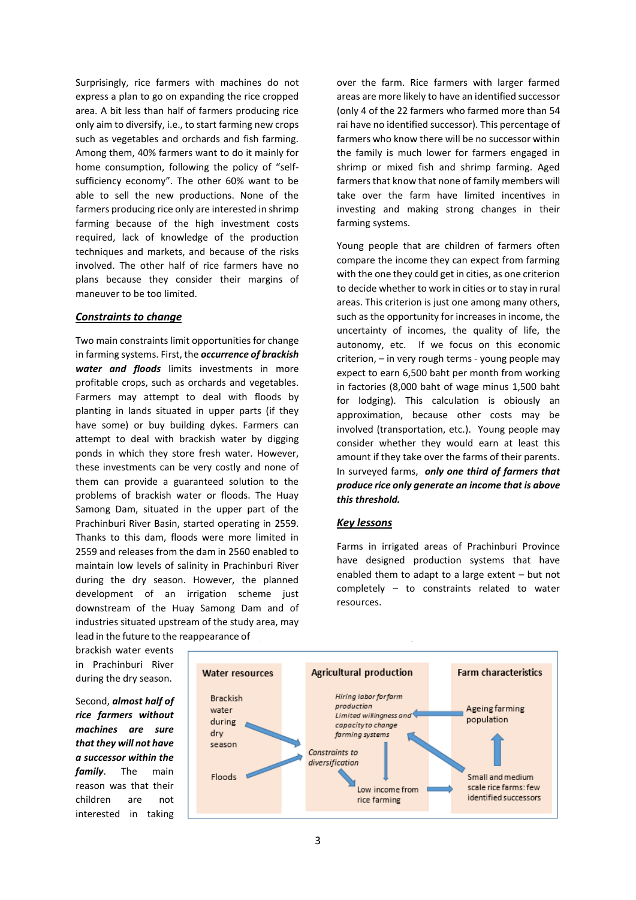Surprisingly, rice farmers with machines do not express a plan to go on expanding the rice cropped area. A bit less than half of farmers producing rice only aim to diversify, i.e., to start farming new crops such as vegetables and orchards and fish farming. Among them, 40% farmers want to do it mainly for home consumption, following the policy of "selfsufficiency economy". The other 60% want to be able to sell the new productions. None of the farmers producing rice only are interested in shrimp farming because of the high investment costs required, lack of knowledge of the production techniques and markets, and because of the risks involved. The other half of rice farmers have no plans because they consider their margins of maneuver to be too limited.

#### *Constraints to change*

Two main constraints limit opportunities for change in farming systems. First, the *occurrence of brackish water and floods* limits investments in more profitable crops, such as orchards and vegetables. Farmers may attempt to deal with floods by planting in lands situated in upper parts (if they have some) or buy building dykes. Farmers can attempt to deal with brackish water by digging ponds in which they store fresh water. However, these investments can be very costly and none of them can provide a guaranteed solution to the problems of brackish water or floods. The Huay Samong Dam, situated in the upper part of the Prachinburi River Basin, started operating in 2559. Thanks to this dam, floods were more limited in 2559 and releases from the dam in 2560 enabled to maintain low levels of salinity in Prachinburi River during the dry season. However, the planned development of an irrigation scheme just downstream of the Huay Samong Dam and of industries situated upstream of the study area, may lead in the future to the reappearance of

over the farm. Rice farmers with larger farmed areas are more likely to have an identified successor (only 4 of the 22 farmers who farmed more than 54 rai have no identified successor). This percentage of farmers who know there will be no successor within the family is much lower for farmers engaged in shrimp or mixed fish and shrimp farming. Aged farmers that know that none of family members will take over the farm have limited incentives in investing and making strong changes in their farming systems.

Young people that are children of farmers often compare the income they can expect from farming with the one they could get in cities, as one criterion to decide whether to work in cities or to stay in rural areas. This criterion is just one among many others, such as the opportunity for increases in income, the uncertainty of incomes, the quality of life, the autonomy, etc. If we focus on this economic criterion, – in very rough terms - young people may expect to earn 6,500 baht per month from working in factories (8,000 baht of wage minus 1,500 baht for lodging). This calculation is obiously an approximation, because other costs may be involved (transportation, etc.). Young people may consider whether they would earn at least this amount if they take over the farms of their parents. In surveyed farms, *only one third of farmers that produce rice only generate an income that is above this threshold.*

## *Key lessons*

Farms in irrigated areas of Prachinburi Province have designed production systems that have enabled them to adapt to a large extent – but not completely – to constraints related to water resources.

brackish water events in Prachinburi River during the dry season.

Second, *almost half of rice farmers without machines are sure that they will not have a successor within the family*. The main reason was that their children are not interested in taking